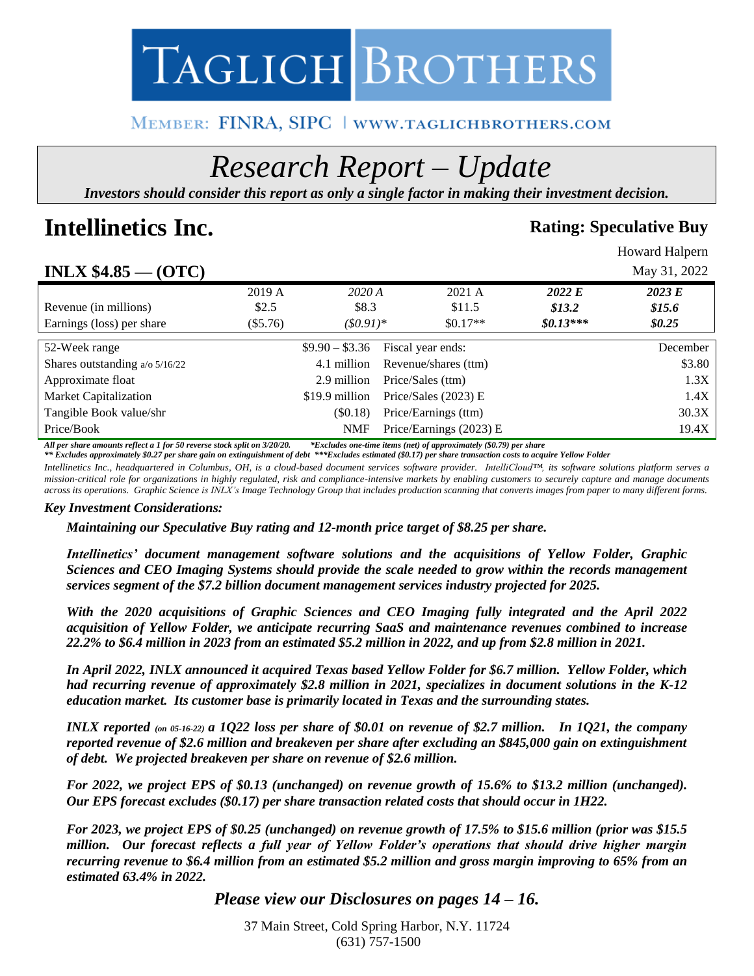

# MEMBER: FINRA, SIPC | WWW.TAGLICHBROTHERS.COM

# *Research Report – Update*

*Investors should consider this report as only a single factor in making their investment decision.*

# **Intellinetics Inc. Rating:** Speculative Buy

Howard Halpern

# **INLX \$4.85 — (OTC)** May 31, 2022

| LI VILIA VTIVU<br>$\mathbf{v}$ is $\mathbf{v}$ |            |                 |                         |            | $$ , , , , , , , , , |
|------------------------------------------------|------------|-----------------|-------------------------|------------|----------------------|
|                                                | 2019 A     | 2020A           | 2021 A                  | 2022 E     | 2023 E               |
| Revenue (in millions)                          | \$2.5      | \$8.3           | \$11.5                  | \$13.2\$   | \$15.6               |
| Earnings (loss) per share                      | $(\$5.76)$ | $(50.91)^*$     | $$0.17**$$              | $$0.13***$ | \$0.25               |
|                                                |            |                 |                         |            |                      |
| 52-Week range                                  |            | $$9.90 - $3.36$ | Fiscal year ends:       |            | December             |
| Shares outstanding $a/\sigma$ 5/16/22          |            | 4.1 million     | Revenue/shares (ttm)    |            | \$3.80               |
| Approximate float                              |            | 2.9 million     | Price/Sales (ttm)       |            | 1.3X                 |
| <b>Market Capitalization</b>                   |            | \$19.9 million  | Price/Sales $(2023)$ E  |            | 1.4X                 |
| Tangible Book value/shr                        |            | (\$0.18)        | Price/Earnings (ttm)    |            | 30.3X                |
| Price/Book                                     |            | <b>NMF</b>      | Price/Earnings (2023) E |            | 19.4X                |
|                                                |            |                 |                         |            |                      |

*All per share amounts reflect a 1 for 50 reverse stock split on 3/20/20. \*Excludes one-time items (net) of approximately (\$0.79) per share \*\* Excludes approximately \$0.27 per share gain on extinguishment of debt \*\*\*Excludes estimated (\$0.17) per share transaction costs to acquire Yellow Folder*

*Intellinetics Inc., headquartered in Columbus, OH, is a cloud-based document services software provider. IntelliCloud™, its software solutions platform serves a mission-critical role for organizations in highly regulated, risk and compliance-intensive markets by enabling customers to securely capture and manage documents across its operations. Graphic Science is INLX's Image Technology Group that includes production scanning that converts images from paper to many different forms.*

#### *Key Investment Considerations:*

*Maintaining our Speculative Buy rating and 12-month price target of \$8.25 per share.*

*Intellinetics' document management software solutions and the acquisitions of Yellow Folder, Graphic Sciences and CEO Imaging Systems should provide the scale needed to grow within the records management services segment of the \$7.2 billion document management services industry projected for 2025.* 

*With the 2020 acquisitions of Graphic Sciences and CEO Imaging fully integrated and the April 2022 acquisition of Yellow Folder, we anticipate recurring SaaS and maintenance revenues combined to increase 22.2% to \$6.4 million in 2023 from an estimated \$5.2 million in 2022, and up from \$2.8 million in 2021.* 

*In April 2022, INLX announced it acquired Texas based Yellow Folder for \$6.7 million. Yellow Folder, which had recurring revenue of approximately \$2.8 million in 2021, specializes in document solutions in the K-12 education market. Its customer base is primarily located in Texas and the surrounding states.* 

*INLX reported (on 05-16-22) a 1Q22 loss per share of \$0.01 on revenue of \$2.7 million. In 1Q21, the company reported revenue of \$2.6 million and breakeven per share after excluding an \$845,000 gain on extinguishment of debt. We projected breakeven per share on revenue of \$2.6 million.*

*For 2022, we project EPS of \$0.13 (unchanged) on revenue growth of 15.6% to \$13.2 million (unchanged). Our EPS forecast excludes (\$0.17) per share transaction related costs that should occur in 1H22.*

*For 2023, we project EPS of \$0.25 (unchanged) on revenue growth of 17.5% to \$15.6 million (prior was \$15.5 million. Our forecast reflects a full year of Yellow Folder's operations that should drive higher margin recurring revenue to \$6.4 million from an estimated \$5.2 million and gross margin improving to 65% from an estimated 63.4% in 2022.*

# *Please view our Disclosures on pages 14 – 16.*

37 Main Street, Cold Spring Harbor, N.Y. 11724 (631) 757-1500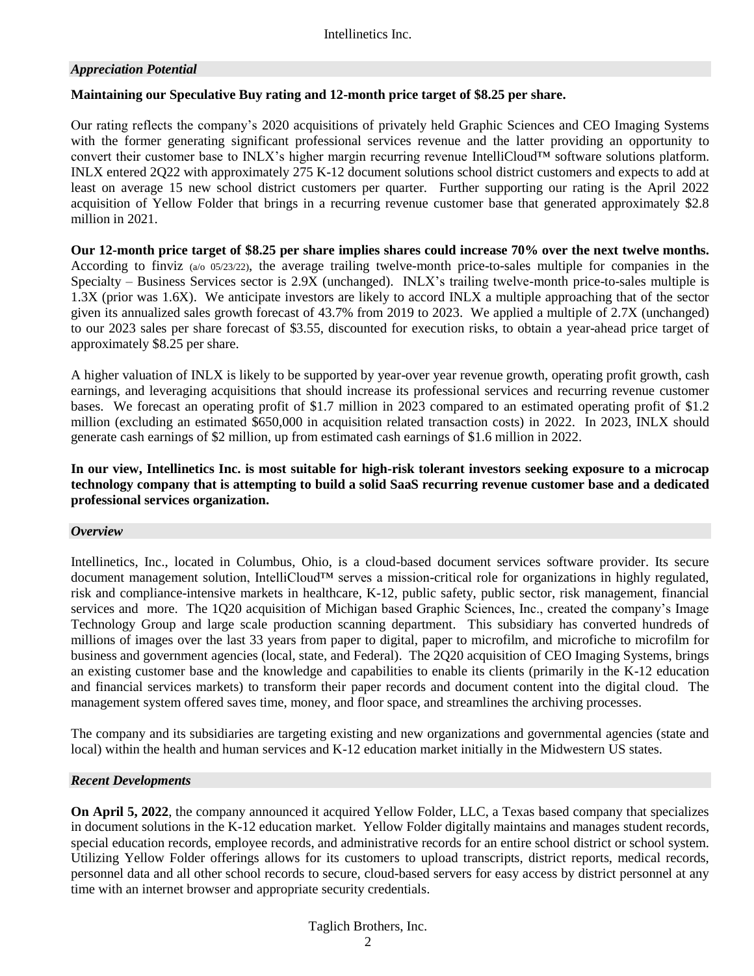#### *Appreciation Potential*

#### **Maintaining our Speculative Buy rating and 12-month price target of \$8.25 per share.**

Our rating reflects the company's 2020 acquisitions of privately held Graphic Sciences and CEO Imaging Systems with the former generating significant professional services revenue and the latter providing an opportunity to convert their customer base to INLX's higher margin recurring revenue IntelliCloud™ software solutions platform. INLX entered 2Q22 with approximately 275 K-12 document solutions school district customers and expects to add at least on average 15 new school district customers per quarter. Further supporting our rating is the April 2022 acquisition of Yellow Folder that brings in a recurring revenue customer base that generated approximately \$2.8 million in 2021.

**Our 12-month price target of \$8.25 per share implies shares could increase 70% over the next twelve months.**  According to finviz (a/o 05/23/22), the average trailing twelve-month price-to-sales multiple for companies in the Specialty – Business Services sector is 2.9X (unchanged). INLX's trailing twelve-month price-to-sales multiple is 1.3X (prior was 1.6X). We anticipate investors are likely to accord INLX a multiple approaching that of the sector given its annualized sales growth forecast of 43.7% from 2019 to 2023. We applied a multiple of 2.7X (unchanged) to our 2023 sales per share forecast of \$3.55, discounted for execution risks, to obtain a year-ahead price target of approximately \$8.25 per share.

A higher valuation of INLX is likely to be supported by year-over year revenue growth, operating profit growth, cash earnings, and leveraging acquisitions that should increase its professional services and recurring revenue customer bases. We forecast an operating profit of \$1.7 million in 2023 compared to an estimated operating profit of \$1.2 million (excluding an estimated \$650,000 in acquisition related transaction costs) in 2022. In 2023, INLX should generate cash earnings of \$2 million, up from estimated cash earnings of \$1.6 million in 2022.

**In our view, Intellinetics Inc. is most suitable for high-risk tolerant investors seeking exposure to a microcap technology company that is attempting to build a solid SaaS recurring revenue customer base and a dedicated professional services organization.**

#### *Overview*

Intellinetics, Inc., located in Columbus, Ohio, is a cloud-based document services software provider. Its secure document management solution, IntelliCloud™ serves a mission-critical role for organizations in highly regulated, risk and compliance-intensive markets in healthcare, K-12, public safety, public sector, risk management, financial services and more. The 1Q20 acquisition of Michigan based Graphic Sciences, Inc., created the company's Image Technology Group and large scale production scanning department. This subsidiary has converted hundreds of millions of images over the last 33 years from paper to digital, paper to microfilm, and microfiche to microfilm for business and government agencies (local, state, and Federal). The 2Q20 acquisition of CEO Imaging Systems, brings an existing customer base and the knowledge and capabilities to enable its clients (primarily in the K-12 education and financial services markets) to transform their paper records and document content into the digital cloud. The management system offered saves time, money, and floor space, and streamlines the archiving processes.

The company and its subsidiaries are targeting existing and new organizations and governmental agencies (state and local) within the health and human services and K-12 education market initially in the Midwestern US states.

#### *Recent Developments*

**On April 5, 2022**, the company announced it acquired Yellow Folder, LLC, a Texas based company that specializes in document solutions in the K-12 education market. Yellow Folder digitally maintains and manages student records, special education records, employee records, and administrative records for an entire school district or school system. Utilizing Yellow Folder offerings allows for its customers to upload transcripts, district reports, medical records, personnel data and all other school records to secure, cloud-based servers for easy access by district personnel at any time with an internet browser and appropriate security credentials.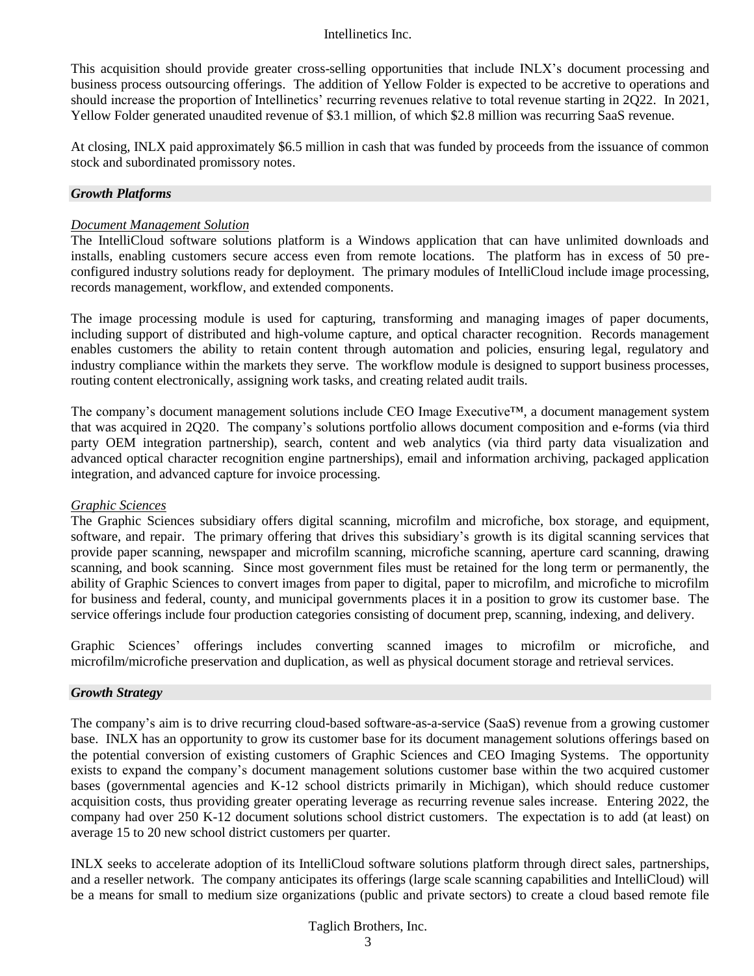This acquisition should provide greater cross-selling opportunities that include INLX's document processing and business process outsourcing offerings. The addition of Yellow Folder is expected to be accretive to operations and should increase the proportion of Intellinetics' recurring revenues relative to total revenue starting in 2Q22. In 2021, Yellow Folder generated unaudited revenue of \$3.1 million, of which \$2.8 million was recurring SaaS revenue.

At closing, INLX paid approximately \$6.5 million in cash that was funded by proceeds from the issuance of common stock and subordinated promissory notes.

#### *Growth Platforms*

#### *Document Management Solution*

The IntelliCloud software solutions platform is a Windows application that can have unlimited downloads and installs, enabling customers secure access even from remote locations. The platform has in excess of 50 preconfigured industry solutions ready for deployment. The primary modules of IntelliCloud include image processing, records management, workflow, and extended components.

The image processing module is used for capturing, transforming and managing images of paper documents, including support of distributed and high-volume capture, and optical character recognition. Records management enables customers the ability to retain content through automation and policies, ensuring legal, regulatory and industry compliance within the markets they serve. The workflow module is designed to support business processes, routing content electronically, assigning work tasks, and creating related audit trails.

The company's document management solutions include CEO Image Executive™, a document management system that was acquired in 2Q20. The company's solutions portfolio allows document composition and e-forms (via third party OEM integration partnership), search, content and web analytics (via third party data visualization and advanced optical character recognition engine partnerships), email and information archiving, packaged application integration, and advanced capture for invoice processing.

#### *Graphic Sciences*

The Graphic Sciences subsidiary offers digital scanning, microfilm and microfiche, box storage, and equipment, software, and repair. The primary offering that drives this subsidiary's growth is its digital scanning services that provide paper scanning, newspaper and microfilm scanning, microfiche scanning, aperture card scanning, drawing scanning, and book scanning. Since most government files must be retained for the long term or permanently, the ability of Graphic Sciences to convert images from paper to digital, paper to microfilm, and microfiche to microfilm for business and federal, county, and municipal governments places it in a position to grow its customer base. The service offerings include four production categories consisting of document prep, scanning, indexing, and delivery.

Graphic Sciences' offerings includes converting scanned images to microfilm or microfiche, and microfilm/microfiche preservation and duplication, as well as physical document storage and retrieval services.

#### *Growth Strategy*

The company's aim is to drive recurring cloud-based software-as-a-service (SaaS) revenue from a growing customer base. INLX has an opportunity to grow its customer base for its document management solutions offerings based on the potential conversion of existing customers of Graphic Sciences and CEO Imaging Systems. The opportunity exists to expand the company's document management solutions customer base within the two acquired customer bases (governmental agencies and K-12 school districts primarily in Michigan), which should reduce customer acquisition costs, thus providing greater operating leverage as recurring revenue sales increase. Entering 2022, the company had over 250 K-12 document solutions school district customers. The expectation is to add (at least) on average 15 to 20 new school district customers per quarter.

INLX seeks to accelerate adoption of its IntelliCloud software solutions platform through direct sales, partnerships, and a reseller network. The company anticipates its offerings (large scale scanning capabilities and IntelliCloud) will be a means for small to medium size organizations (public and private sectors) to create a cloud based remote file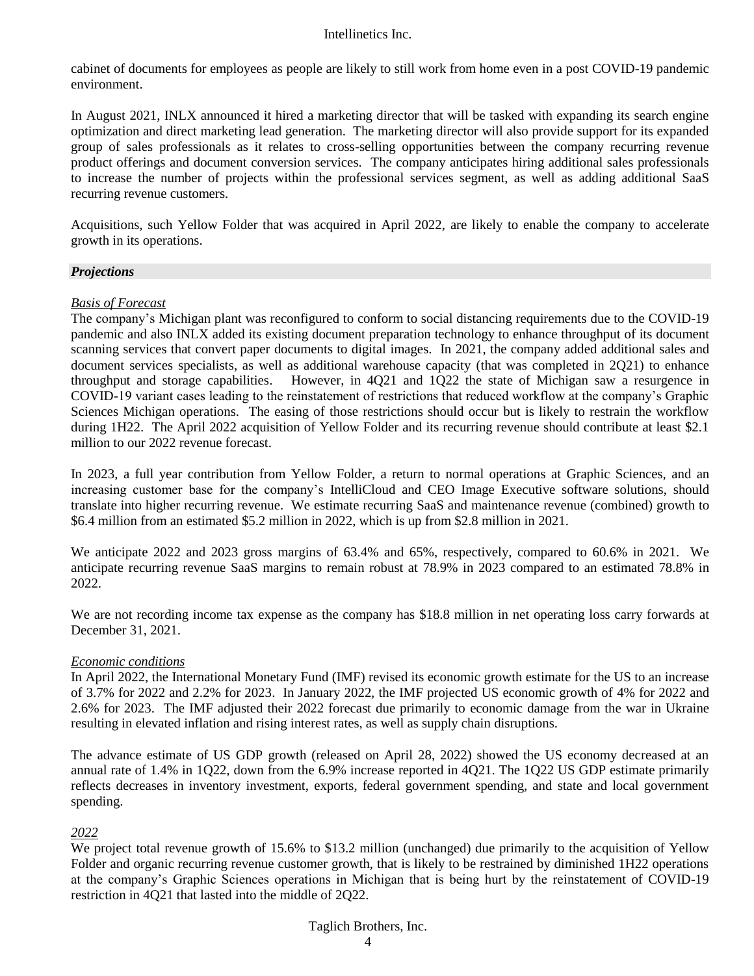cabinet of documents for employees as people are likely to still work from home even in a post COVID-19 pandemic environment.

In August 2021, INLX announced it hired a marketing director that will be tasked with expanding its search engine optimization and direct marketing lead generation. The marketing director will also provide support for its expanded group of sales professionals as it relates to cross-selling opportunities between the company recurring revenue product offerings and document conversion services. The company anticipates hiring additional sales professionals to increase the number of projects within the professional services segment, as well as adding additional SaaS recurring revenue customers.

Acquisitions, such Yellow Folder that was acquired in April 2022, are likely to enable the company to accelerate growth in its operations.

#### *Projections*

#### *Basis of Forecast*

The company's Michigan plant was reconfigured to conform to social distancing requirements due to the COVID-19 pandemic and also INLX added its existing document preparation technology to enhance throughput of its document scanning services that convert paper documents to digital images. In 2021, the company added additional sales and document services specialists, as well as additional warehouse capacity (that was completed in 2Q21) to enhance throughput and storage capabilities. However, in 4Q21 and 1Q22 the state of Michigan saw a resurgence in COVID-19 variant cases leading to the reinstatement of restrictions that reduced workflow at the company's Graphic Sciences Michigan operations. The easing of those restrictions should occur but is likely to restrain the workflow during 1H22. The April 2022 acquisition of Yellow Folder and its recurring revenue should contribute at least \$2.1 million to our 2022 revenue forecast.

In 2023, a full year contribution from Yellow Folder, a return to normal operations at Graphic Sciences, and an increasing customer base for the company's IntelliCloud and CEO Image Executive software solutions, should translate into higher recurring revenue. We estimate recurring SaaS and maintenance revenue (combined) growth to \$6.4 million from an estimated \$5.2 million in 2022, which is up from \$2.8 million in 2021.

We anticipate 2022 and 2023 gross margins of 63.4% and 65%, respectively, compared to 60.6% in 2021. We anticipate recurring revenue SaaS margins to remain robust at 78.9% in 2023 compared to an estimated 78.8% in 2022.

We are not recording income tax expense as the company has \$18.8 million in net operating loss carry forwards at December 31, 2021.

#### *Economic conditions*

In April 2022, the International Monetary Fund (IMF) revised its economic growth estimate for the US to an increase of 3.7% for 2022 and 2.2% for 2023. In January 2022, the IMF projected US economic growth of 4% for 2022 and 2.6% for 2023. The IMF adjusted their 2022 forecast due primarily to economic damage from the war in Ukraine resulting in elevated inflation and rising interest rates, as well as supply chain disruptions.

The advance estimate of US GDP growth (released on April 28, 2022) showed the US economy decreased at an annual rate of 1.4% in 1Q22, down from the 6.9% increase reported in 4Q21. The 1Q22 US GDP estimate primarily reflects decreases in inventory investment, exports, federal government spending, and state and local government spending.

### *2022*

We project total revenue growth of 15.6% to \$13.2 million (unchanged) due primarily to the acquisition of Yellow Folder and organic recurring revenue customer growth, that is likely to be restrained by diminished 1H22 operations at the company's Graphic Sciences operations in Michigan that is being hurt by the reinstatement of COVID-19 restriction in 4Q21 that lasted into the middle of 2Q22.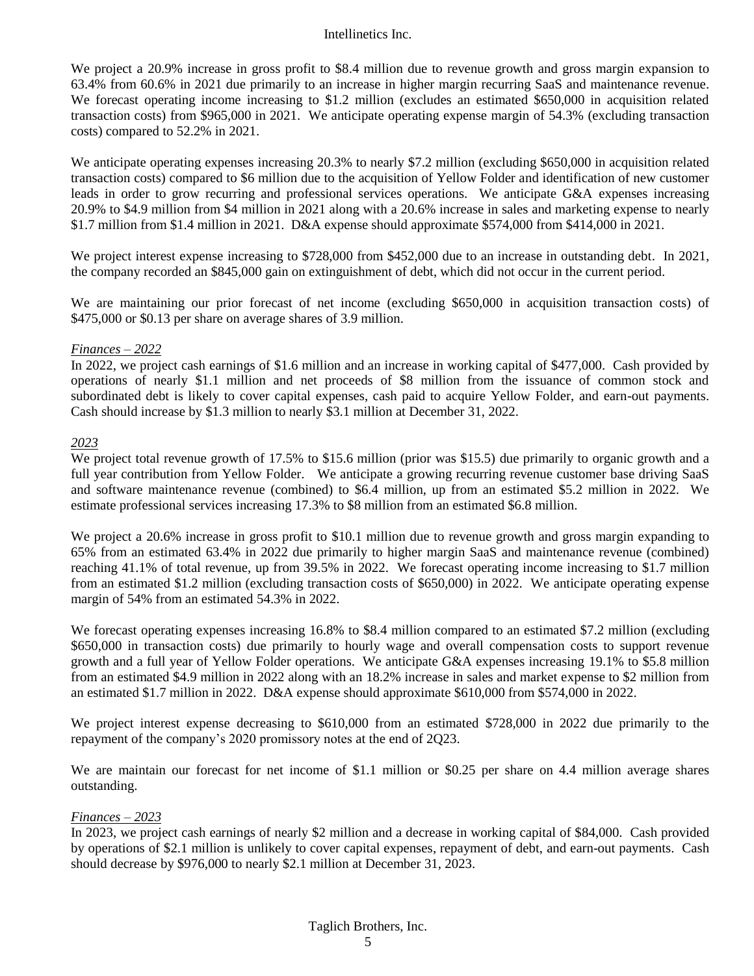We project a 20.9% increase in gross profit to \$8.4 million due to revenue growth and gross margin expansion to 63.4% from 60.6% in 2021 due primarily to an increase in higher margin recurring SaaS and maintenance revenue. We forecast operating income increasing to \$1.2 million (excludes an estimated \$650,000 in acquisition related transaction costs) from \$965,000 in 2021. We anticipate operating expense margin of 54.3% (excluding transaction costs) compared to 52.2% in 2021.

We anticipate operating expenses increasing 20.3% to nearly \$7.2 million (excluding \$650,000 in acquisition related transaction costs) compared to \$6 million due to the acquisition of Yellow Folder and identification of new customer leads in order to grow recurring and professional services operations. We anticipate G&A expenses increasing 20.9% to \$4.9 million from \$4 million in 2021 along with a 20.6% increase in sales and marketing expense to nearly \$1.7 million from \$1.4 million in 2021. D&A expense should approximate \$574,000 from \$414,000 in 2021.

We project interest expense increasing to \$728,000 from \$452,000 due to an increase in outstanding debt. In 2021, the company recorded an \$845,000 gain on extinguishment of debt, which did not occur in the current period.

We are maintaining our prior forecast of net income (excluding \$650,000 in acquisition transaction costs) of \$475,000 or \$0.13 per share on average shares of 3.9 million.

#### *Finances – 2022*

In 2022, we project cash earnings of \$1.6 million and an increase in working capital of \$477,000. Cash provided by operations of nearly \$1.1 million and net proceeds of \$8 million from the issuance of common stock and subordinated debt is likely to cover capital expenses, cash paid to acquire Yellow Folder, and earn-out payments. Cash should increase by \$1.3 million to nearly \$3.1 million at December 31, 2022.

#### *2023*

We project total revenue growth of 17.5% to \$15.6 million (prior was \$15.5) due primarily to organic growth and a full year contribution from Yellow Folder. We anticipate a growing recurring revenue customer base driving SaaS and software maintenance revenue (combined) to \$6.4 million, up from an estimated \$5.2 million in 2022. We estimate professional services increasing 17.3% to \$8 million from an estimated \$6.8 million.

We project a 20.6% increase in gross profit to \$10.1 million due to revenue growth and gross margin expanding to 65% from an estimated 63.4% in 2022 due primarily to higher margin SaaS and maintenance revenue (combined) reaching 41.1% of total revenue, up from 39.5% in 2022. We forecast operating income increasing to \$1.7 million from an estimated \$1.2 million (excluding transaction costs of \$650,000) in 2022. We anticipate operating expense margin of 54% from an estimated 54.3% in 2022.

We forecast operating expenses increasing 16.8% to \$8.4 million compared to an estimated \$7.2 million (excluding \$650,000 in transaction costs) due primarily to hourly wage and overall compensation costs to support revenue growth and a full year of Yellow Folder operations. We anticipate G&A expenses increasing 19.1% to \$5.8 million from an estimated \$4.9 million in 2022 along with an 18.2% increase in sales and market expense to \$2 million from an estimated \$1.7 million in 2022. D&A expense should approximate \$610,000 from \$574,000 in 2022.

We project interest expense decreasing to \$610,000 from an estimated \$728,000 in 2022 due primarily to the repayment of the company's 2020 promissory notes at the end of 2Q23.

We are maintain our forecast for net income of \$1.1 million or \$0.25 per share on 4.4 million average shares outstanding.

#### *Finances – 2023*

In 2023, we project cash earnings of nearly \$2 million and a decrease in working capital of \$84,000. Cash provided by operations of \$2.1 million is unlikely to cover capital expenses, repayment of debt, and earn-out payments. Cash should decrease by \$976,000 to nearly \$2.1 million at December 31, 2023.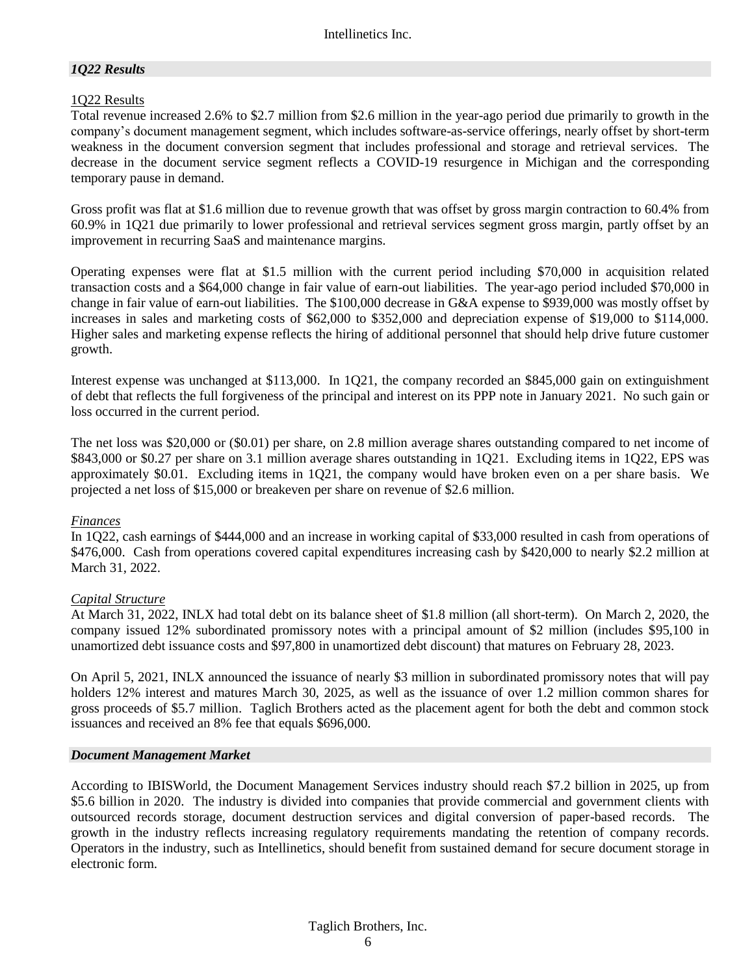#### *1Q22 Results*

#### 1Q22 Results

Total revenue increased 2.6% to \$2.7 million from \$2.6 million in the year-ago period due primarily to growth in the company's document management segment, which includes software-as-service offerings, nearly offset by short-term weakness in the document conversion segment that includes professional and storage and retrieval services. The decrease in the document service segment reflects a COVID-19 resurgence in Michigan and the corresponding temporary pause in demand.

Gross profit was flat at \$1.6 million due to revenue growth that was offset by gross margin contraction to 60.4% from 60.9% in 1Q21 due primarily to lower professional and retrieval services segment gross margin, partly offset by an improvement in recurring SaaS and maintenance margins.

Operating expenses were flat at \$1.5 million with the current period including \$70,000 in acquisition related transaction costs and a \$64,000 change in fair value of earn-out liabilities. The year-ago period included \$70,000 in change in fair value of earn-out liabilities. The \$100,000 decrease in G&A expense to \$939,000 was mostly offset by increases in sales and marketing costs of \$62,000 to \$352,000 and depreciation expense of \$19,000 to \$114,000. Higher sales and marketing expense reflects the hiring of additional personnel that should help drive future customer growth.

Interest expense was unchanged at \$113,000. In 1Q21, the company recorded an \$845,000 gain on extinguishment of debt that reflects the full forgiveness of the principal and interest on its PPP note in January 2021. No such gain or loss occurred in the current period.

The net loss was \$20,000 or (\$0.01) per share, on 2.8 million average shares outstanding compared to net income of \$843,000 or \$0.27 per share on 3.1 million average shares outstanding in 1Q21. Excluding items in 1Q22, EPS was approximately \$0.01. Excluding items in 1Q21, the company would have broken even on a per share basis. We projected a net loss of \$15,000 or breakeven per share on revenue of \$2.6 million.

#### *Finances*

In 1Q22, cash earnings of \$444,000 and an increase in working capital of \$33,000 resulted in cash from operations of \$476,000. Cash from operations covered capital expenditures increasing cash by \$420,000 to nearly \$2.2 million at March 31, 2022.

#### *Capital Structure*

At March 31, 2022, INLX had total debt on its balance sheet of \$1.8 million (all short-term). On March 2, 2020, the company issued 12% subordinated promissory notes with a principal amount of \$2 million (includes \$95,100 in unamortized debt issuance costs and \$97,800 in unamortized debt discount) that matures on February 28, 2023.

On April 5, 2021, INLX announced the issuance of nearly \$3 million in subordinated promissory notes that will pay holders 12% interest and matures March 30, 2025, as well as the issuance of over 1.2 million common shares for gross proceeds of \$5.7 million. Taglich Brothers acted as the placement agent for both the debt and common stock issuances and received an 8% fee that equals \$696,000.

#### *Document Management Market*

According to IBISWorld, the Document Management Services industry should reach \$7.2 billion in 2025, up from \$5.6 billion in 2020. The industry is divided into companies that provide commercial and government clients with outsourced records storage, document destruction services and digital conversion of paper-based records. The growth in the industry reflects increasing regulatory requirements mandating the retention of company records. Operators in the industry, such as Intellinetics, should benefit from sustained demand for secure document storage in electronic form.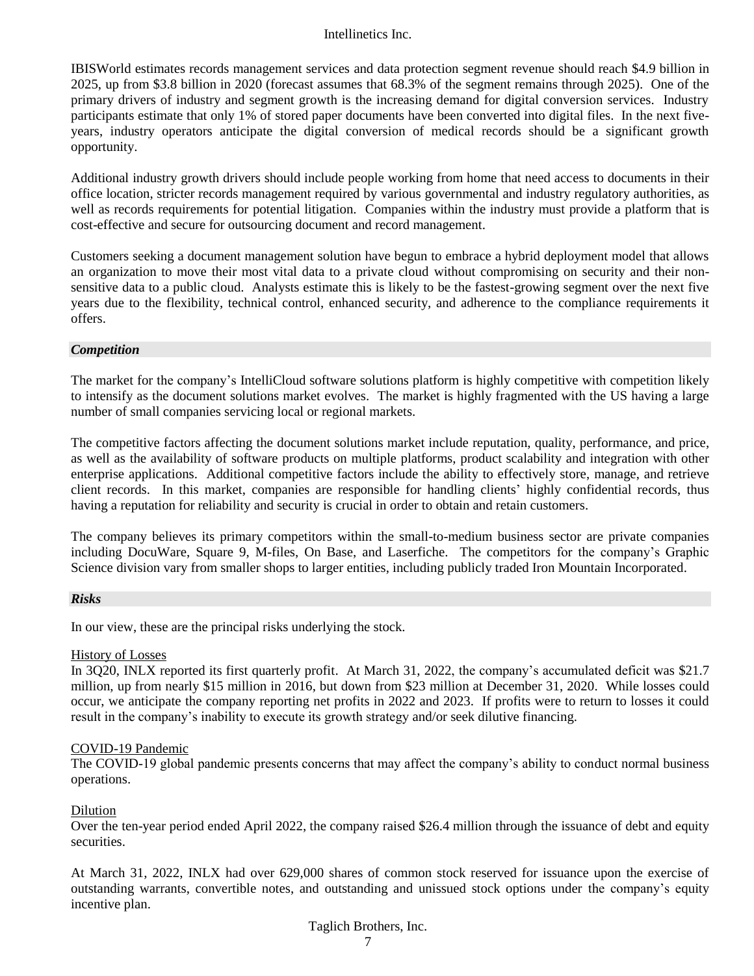IBISWorld estimates records management services and data protection segment revenue should reach \$4.9 billion in 2025, up from \$3.8 billion in 2020 (forecast assumes that 68.3% of the segment remains through 2025). One of the primary drivers of industry and segment growth is the increasing demand for digital conversion services. Industry participants estimate that only 1% of stored paper documents have been converted into digital files. In the next fiveyears, industry operators anticipate the digital conversion of medical records should be a significant growth opportunity.

Additional industry growth drivers should include people working from home that need access to documents in their office location, stricter records management required by various governmental and industry regulatory authorities, as well as records requirements for potential litigation. Companies within the industry must provide a platform that is cost-effective and secure for outsourcing document and record management.

Customers seeking a document management solution have begun to embrace a hybrid deployment model that allows an organization to move their most vital data to a private cloud without compromising on security and their nonsensitive data to a public cloud. Analysts estimate this is likely to be the fastest-growing segment over the next five years due to the flexibility, technical control, enhanced security, and adherence to the compliance requirements it offers.

#### *Competition*

The market for the company's IntelliCloud software solutions platform is highly competitive with competition likely to intensify as the document solutions market evolves. The market is highly fragmented with the US having a large number of small companies servicing local or regional markets.

The competitive factors affecting the document solutions market include reputation, quality, performance, and price, as well as the availability of software products on multiple platforms, product scalability and integration with other enterprise applications. Additional competitive factors include the ability to effectively store, manage, and retrieve client records. In this market, companies are responsible for handling clients' highly confidential records, thus having a reputation for reliability and security is crucial in order to obtain and retain customers.

The company believes its primary competitors within the small-to-medium business sector are private companies including DocuWare, Square 9, M-files, On Base, and Laserfiche. The competitors for the company's Graphic Science division vary from smaller shops to larger entities, including publicly traded Iron Mountain Incorporated.

#### *Risks*

In our view, these are the principal risks underlying the stock.

#### History of Losses

In 3Q20, INLX reported its first quarterly profit. At March 31, 2022, the company's accumulated deficit was \$21.7 million, up from nearly \$15 million in 2016, but down from \$23 million at December 31, 2020. While losses could occur, we anticipate the company reporting net profits in 2022 and 2023. If profits were to return to losses it could result in the company's inability to execute its growth strategy and/or seek dilutive financing.

#### COVID-19 Pandemic

The COVID-19 global pandemic presents concerns that may affect the company's ability to conduct normal business operations.

#### Dilution

Over the ten-year period ended April 2022, the company raised \$26.4 million through the issuance of debt and equity securities.

At March 31, 2022, INLX had over 629,000 shares of common stock reserved for issuance upon the exercise of outstanding warrants, convertible notes, and outstanding and unissued stock options under the company's equity incentive plan.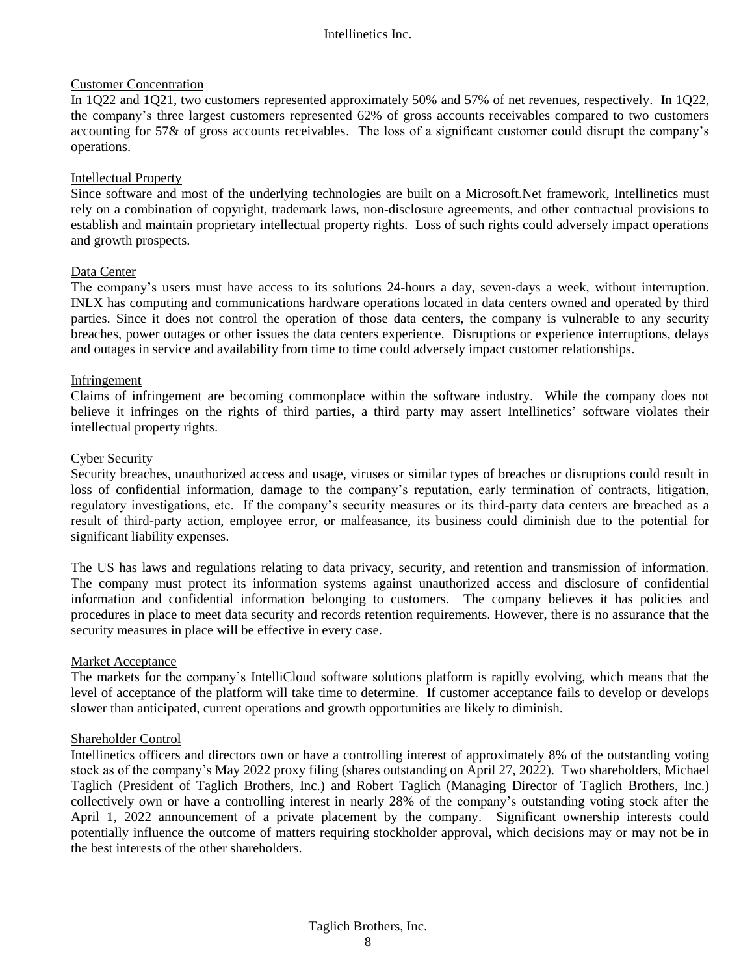#### Customer Concentration

In 1Q22 and 1Q21, two customers represented approximately 50% and 57% of net revenues, respectively. In 1Q22, the company's three largest customers represented 62% of gross accounts receivables compared to two customers accounting for 57& of gross accounts receivables. The loss of a significant customer could disrupt the company's operations.

#### Intellectual Property

Since software and most of the underlying technologies are built on a Microsoft.Net framework, Intellinetics must rely on a combination of copyright, trademark laws, non-disclosure agreements, and other contractual provisions to establish and maintain proprietary intellectual property rights. Loss of such rights could adversely impact operations and growth prospects.

#### Data Center

The company's users must have access to its solutions 24-hours a day, seven-days a week, without interruption. INLX has computing and communications hardware operations located in data centers owned and operated by third parties. Since it does not control the operation of those data centers, the company is vulnerable to any security breaches, power outages or other issues the data centers experience. Disruptions or experience interruptions, delays and outages in service and availability from time to time could adversely impact customer relationships.

#### Infringement

Claims of infringement are becoming commonplace within the software industry. While the company does not believe it infringes on the rights of third parties, a third party may assert Intellinetics' software violates their intellectual property rights.

#### Cyber Security

Security breaches, unauthorized access and usage, viruses or similar types of breaches or disruptions could result in loss of confidential information, damage to the company's reputation, early termination of contracts, litigation, regulatory investigations, etc. If the company's security measures or its third-party data centers are breached as a result of third-party action, employee error, or malfeasance, its business could diminish due to the potential for significant liability expenses.

The US has laws and regulations relating to data privacy, security, and retention and transmission of information. The company must protect its information systems against unauthorized access and disclosure of confidential information and confidential information belonging to customers. The company believes it has policies and procedures in place to meet data security and records retention requirements. However, there is no assurance that the security measures in place will be effective in every case.

#### **Market Acceptance**

The markets for the company's IntelliCloud software solutions platform is rapidly evolving, which means that the level of acceptance of the platform will take time to determine. If customer acceptance fails to develop or develops slower than anticipated, current operations and growth opportunities are likely to diminish.

#### Shareholder Control

Intellinetics officers and directors own or have a controlling interest of approximately 8% of the outstanding voting stock as of the company's May 2022 proxy filing (shares outstanding on April 27, 2022). Two shareholders, Michael Taglich (President of Taglich Brothers, Inc.) and Robert Taglich (Managing Director of Taglich Brothers, Inc.) collectively own or have a controlling interest in nearly 28% of the company's outstanding voting stock after the April 1, 2022 announcement of a private placement by the company. Significant ownership interests could potentially influence the outcome of matters requiring stockholder approval, which decisions may or may not be in the best interests of the other shareholders.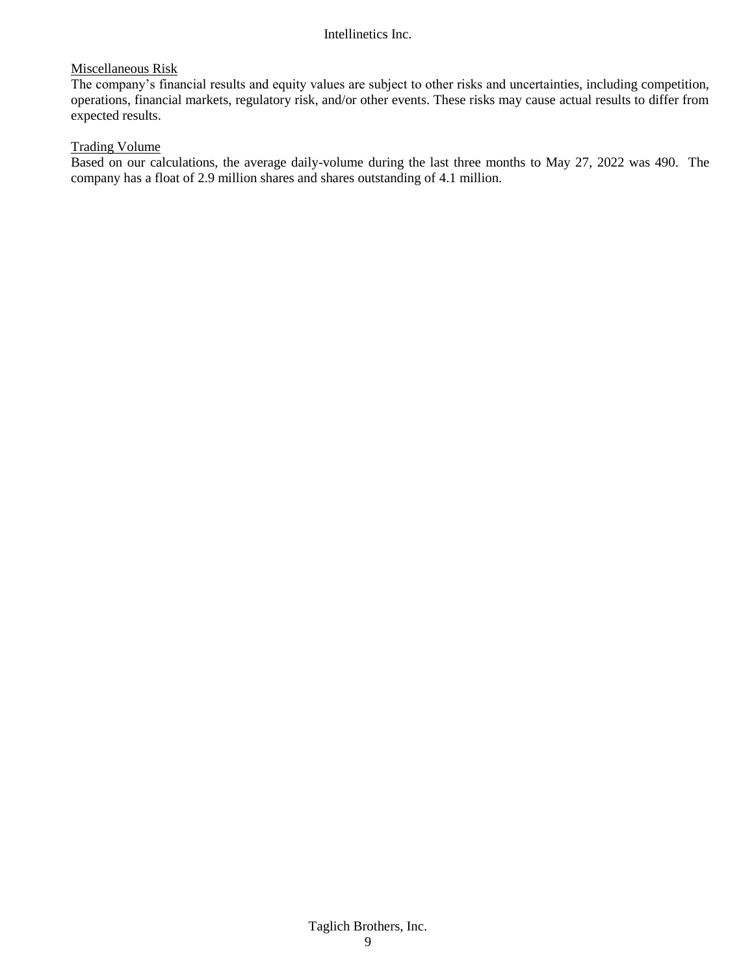#### Miscellaneous Risk

The company's financial results and equity values are subject to other risks and uncertainties, including competition, operations, financial markets, regulatory risk, and/or other events. These risks may cause actual results to differ from expected results.

#### Trading Volume

Based on our calculations, the average daily-volume during the last three months to May 27, 2022 was 490. The company has a float of 2.9 million shares and shares outstanding of 4.1 million.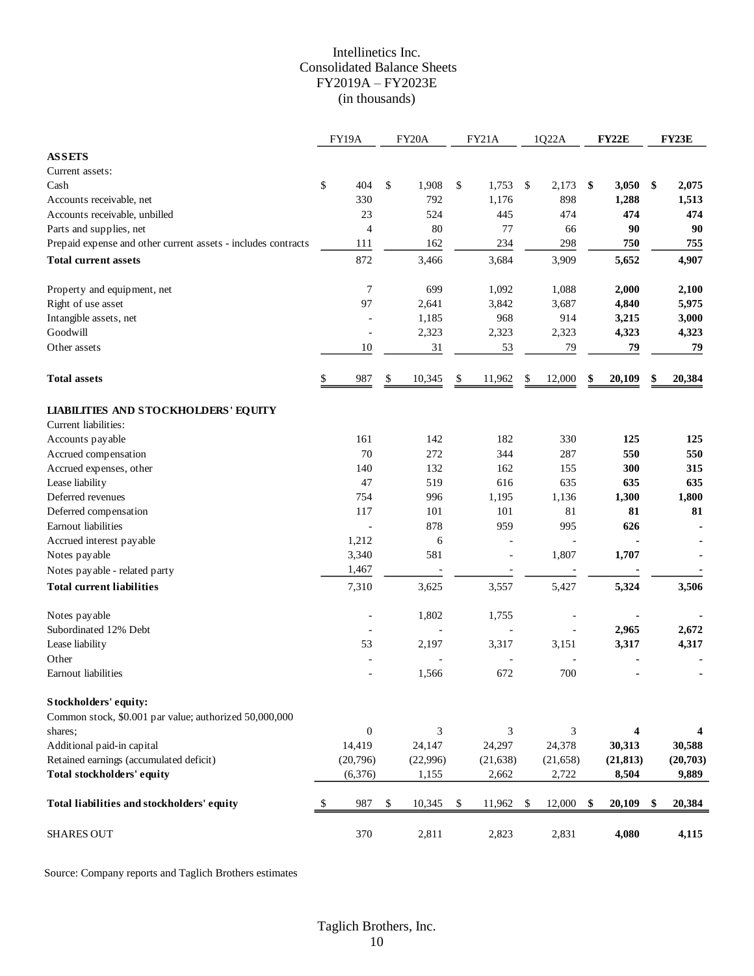#### Intellinetics Inc. Consolidated Balance Sheets FY2019A – FY2023E (in thousands)

|                                                                                 | FY19A            | FY20A        | FY21A          |              | 1Q22A     | FY22E                   | FY23E        |
|---------------------------------------------------------------------------------|------------------|--------------|----------------|--------------|-----------|-------------------------|--------------|
| <b>ASSETS</b>                                                                   |                  |              |                |              |           |                         |              |
| Current assets:                                                                 |                  |              |                |              |           |                         |              |
| Cash                                                                            | \$<br>404        | \$<br>1,908  | \$<br>1,753    | $\mathbb{S}$ | 2,173     | \$<br>3,050             | \$<br>2,075  |
| Accounts receivable, net                                                        | 330              | 792          | 1,176          |              | 898       | 1,288                   | 1,513        |
| Accounts receivable, unbilled                                                   | 23               | 524          | 445            |              | 474       | 474                     | 474          |
| Parts and supplies, net                                                         | 4                | 80           | 77             |              | 66        | 90                      | 90           |
| Prepaid expense and other current assets - includes contracts                   | 111              | 162          | 234            |              | 298       | 750                     | 755          |
| <b>Total current assets</b>                                                     | 872              | 3,466        | 3,684          |              | 3,909     | 5,652                   | 4,907        |
| Property and equipment, net                                                     | $\tau$           | 699          | 1,092          |              | 1,088     | 2,000                   | 2,100        |
| Right of use asset                                                              | 97               | 2,641        | 3,842          |              | 3,687     | 4,840                   | 5,975        |
| Intangible assets, net                                                          |                  | 1,185        | 968            |              | 914       | 3,215                   | 3,000        |
| Goodwill                                                                        |                  | 2,323        | 2,323          |              | 2,323     | 4,323                   | 4,323        |
| Other assets                                                                    | 10               | 31           | 53             |              | 79        | 79                      | 79           |
|                                                                                 |                  |              |                |              |           |                         |              |
| <b>Total assets</b>                                                             | 987<br>\$        | 10,345<br>\$ | \$<br>11,962   | \$           | 12,000    | \$<br>20,109            | 20,384       |
| <b>LIABILITIES AND STOCKHOLDERS' EQUITY</b>                                     |                  |              |                |              |           |                         |              |
| Current liabilities:                                                            |                  |              |                |              |           |                         |              |
| Accounts payable                                                                | 161              | 142          | 182            |              | 330       | 125                     | 125          |
| Accrued compensation                                                            | 70               | 272          | 344            |              | 287       | 550                     | 550          |
| Accrued expenses, other                                                         | 140              | 132          | 162            |              | 155       | 300                     | 315          |
| Lease liability                                                                 | 47               | 519          | 616            |              | 635       | 635                     | 635          |
| Deferred revenues                                                               | 754              | 996          | 1,195          |              | 1,136     | 1,300                   | 1,800        |
| Deferred compensation                                                           | 117              | 101          | 101            |              | 81        | 81                      | 81           |
| Earnout liabilities                                                             |                  | 878          | 959            |              | 995       | 626                     |              |
| Accrued interest payable                                                        | 1,212            | 6            |                |              |           |                         |              |
| Notes payable                                                                   | 3,340            | 581          | $\overline{a}$ |              | 1,807     | 1,707                   |              |
| Notes payable - related party                                                   | 1,467            |              |                |              |           |                         |              |
| <b>Total current liabilities</b>                                                | 7,310            | 3,625        | 3,557          |              | 5,427     | 5,324                   | 3,506        |
| Notes payable                                                                   |                  | 1,802        | 1,755          |              |           |                         |              |
| Subordinated 12% Debt                                                           |                  |              |                |              |           | 2,965                   | 2,672        |
| Lease liability                                                                 | 53               | 2,197        | 3,317          |              | 3,151     | 3,317                   | 4,317        |
| Other                                                                           |                  |              |                |              |           |                         |              |
| Earnout liabilities                                                             |                  | 1,566        | 672            |              | 700       |                         |              |
| Stockholders' equity:<br>Common stock, \$0.001 par value; authorized 50,000,000 |                  |              |                |              |           |                         |              |
| shares;                                                                         | $\boldsymbol{0}$ | 3            | 3              |              | 3         | $\overline{\mathbf{4}}$ | 4            |
| Additional paid-in capital                                                      | 14,419           | 24,147       | 24,297         |              | 24,378    | 30,313                  | 30,588       |
| Retained earnings (accumulated deficit)                                         | (20,796)         | (22,996)     | (21, 638)      |              | (21, 658) | (21, 813)               | (20,703)     |
| Total stockholders' equity                                                      | (6,376)          | 1,155        | 2,662          |              | 2,722     | 8,504                   | 9,889        |
| Total liabilities and stockholders' equity                                      | 987<br>\$        | \$<br>10,345 | \$<br>11,962   | \$           | 12,000    | \$<br>20,109            | \$<br>20,384 |
| <b>SHARES OUT</b>                                                               | 370              | 2,811        | 2,823          |              | 2,831     | 4,080                   | 4,115        |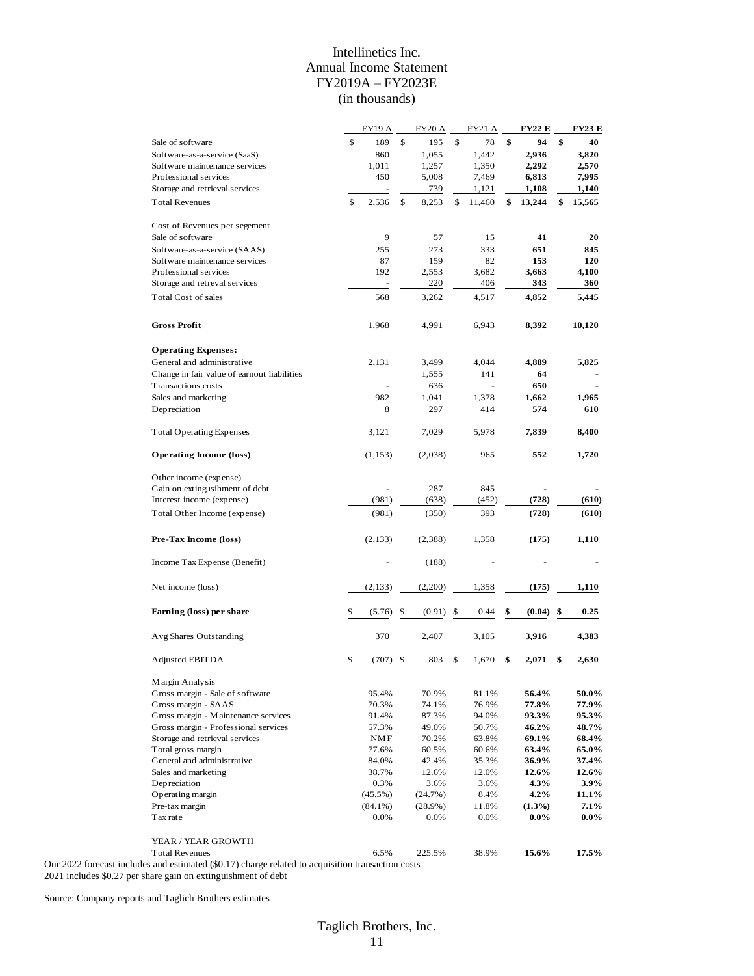#### Intellinetics Inc. Annual Income Statement FY2019A – FY2023E (in thousands)

|                                                                           |    | <b>FY19 A</b> | <b>FY20 A</b> | <b>FY21 A</b> | FY22 E       | <b>FY23 E</b> |
|---------------------------------------------------------------------------|----|---------------|---------------|---------------|--------------|---------------|
| Sale of software                                                          | \$ | 189           | \$<br>195     | \$<br>78      | \$<br>94     | \$<br>40      |
| Software-as-a-service (SaaS)                                              |    | 860           | 1,055         | 1,442         | 2,936        | 3,820         |
| Software maintenance services                                             |    | 1,011         | 1,257         | 1,350         | 2,292        | 2,570         |
| Professional services                                                     |    | 450           | 5,008         | 7,469         | 6,813        | 7,995         |
| Storage and retrieval services                                            |    |               | 739           | 1,121         | 1,108        | 1,140         |
| <b>Total Revenues</b>                                                     | \$ | 2,536         | \$<br>8,253   | \$<br>11,460  | \$<br>13,244 | \$<br>15,565  |
|                                                                           |    |               |               |               |              |               |
| Cost of Revenues per segement                                             |    |               |               |               |              |               |
| Sale of software                                                          |    | 9             | 57            | 15            | 41           | 20            |
| Software-as-a-service (SAAS)                                              |    | 255           | 273           | 333           | 651          | 845           |
| Software maintenance services                                             |    | 87            | 159           | 82            | 153          | 120           |
| Professional services                                                     |    | 192           | 2,553         | 3,682         | 3,663        | 4,100         |
| Storage and retreval services                                             |    |               | 220           | 406           | 343          | 360           |
| <b>Total Cost of sales</b>                                                |    | 568           | 3,262         | 4,517         | 4,852        | 5,445         |
|                                                                           |    |               |               |               |              |               |
| <b>Gross Profit</b>                                                       |    | 1,968         | 4,991         | 6,943         | 8,392        | 10,120        |
|                                                                           |    |               |               |               |              |               |
| <b>Operating Expenses:</b>                                                |    |               |               |               |              |               |
| General and administrative                                                |    | 2,131         | 3,499         | 4,044         | 4,889        | 5,825         |
| Change in fair value of earnout liabilities                               |    |               | 1,555         | 141           | 64           |               |
| Transactions costs                                                        |    |               | 636           |               | 650          |               |
| Sales and marketing                                                       |    | 982           | 1,041         | 1,378         | 1,662        | 1,965         |
| Depreciation                                                              |    | 8             | 297           | 414           | 574          | 610           |
|                                                                           |    |               |               |               |              |               |
| <b>Total Operating Expenses</b>                                           |    | 3,121         | 7,029         | 5,978         | 7,839        | 8,400         |
| <b>Operating Income (loss)</b>                                            |    | (1, 153)      | (2,038)       | 965           | 552          | 1,720         |
| Other income (expense)                                                    |    |               |               |               |              |               |
| Gain on extingusihment of debt                                            |    |               | 287           | 845           |              |               |
| Interest income (expense)                                                 |    | (981)         | (638)         | (452)         | (728)        | (610)         |
| Total Other Income (expense)                                              |    | (981)         | (350)         | 393           | (728)        | (610)         |
|                                                                           |    |               |               |               |              |               |
| Pre-Tax Income (loss)                                                     |    | (2, 133)      | (2,388)       | 1,358         | (175)        | 1,110         |
| Income Tax Expense (Benefit)                                              |    |               | (188)         |               |              |               |
| Net income (loss)                                                         |    | (2,133)       | (2,200)       | 1,358         | (175)        | 1,110         |
| Earning (loss) per share                                                  | S  | (5.76)        | \$<br>(0.91)  | \$<br>0.44    | \$<br>(0.04) | \$<br>0.25    |
|                                                                           |    |               |               |               |              |               |
| Avg Shares Outstanding                                                    |    | 370           | 2,407         | 3,105         | 3,916        | 4,383         |
| Adjusted EBITDA                                                           | \$ | $(707)$ \$    | 803           | \$<br>1,670   | \$<br>2,071  | \$<br>2,630   |
| Margin Analysis                                                           |    |               |               |               |              |               |
| Gross margin - Sale of software                                           |    | 95.4%         | 70.9%         | 81.1%         | 56.4%        | 50.0%         |
| Gross margin - SAAS                                                       |    | 70.3%         | 74.1%         | 76.9%         | 77.8%        | 77.9%         |
| Gross margin - Maintenance services                                       |    | 91.4%         | 87.3%         | 94.0%         | 93.3%        | 95.3%         |
| Gross margin - Professional services                                      |    | 57.3%         | 49.0%         | 50.7%         | 46.2%        | 48.7%         |
| Storage and retrieval services                                            |    | NMF           | 70.2%         | 63.8%         | 69.1%        | 68.4%         |
| Total gross margin                                                        |    | 77.6%         | 60.5%         | 60.6%         | 63.4%        | 65.0%         |
| General and administrative                                                |    | 84.0%         | 42.4%         | 35.3%         | 36.9%        | 37.4%         |
| Sales and marketing                                                       |    | 38.7%         | 12.6%         | 12.0%         | 12.6%        | 12.6%         |
| Depreciation                                                              |    | 0.3%          | 3.6%          | 3.6%          | 4.3%         | 3.9%          |
| Operating margin                                                          |    | $(45.5\%)$    | (24.7%)       | 8.4%          | $4.2\%$      | 11.1%         |
| Pre-tax margin                                                            |    | $(84.1\%)$    | $(28.9\%)$    | 11.8%         | $(1.3\%)$    | $7.1\%$       |
| Tax rate                                                                  |    | 0.0%          | 0.0%          | 0.0%          | $0.0\%$      | $0.0\%$       |
|                                                                           |    |               |               |               |              |               |
| YEAR / YEAR GROWTH<br><b>Total Revenues</b>                               |    | 6.5%          | 225.5%        | 38.9%         | 15.6%        | 17.5%         |
| and estimated $(\& 0.17)$ charge related to acquisition transaction costs |    |               |               |               |              |               |

Our 2022 forecast includes and estimated (\$0.17) charge related to acquisition transaction costs 2021 includes \$0.27 per share gain on extinguishment of debt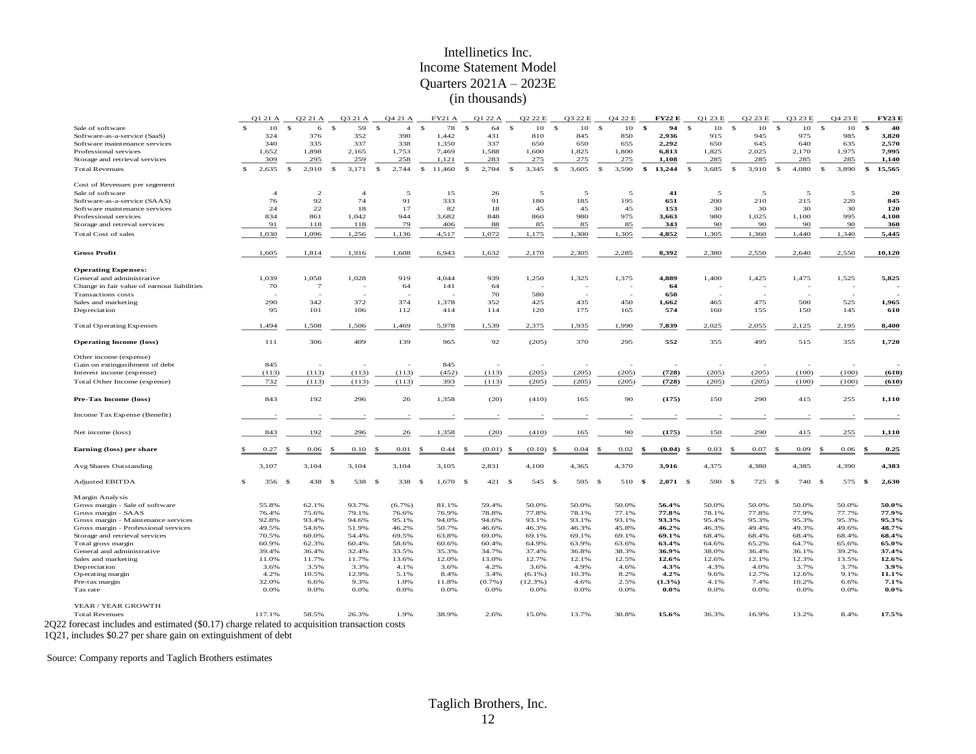#### Intellinetics Inc. Income Statement Model Quarters 2021A – 2023E (in thousands)

|                                                                                               |              | Q1 21 A        | Q2 21 A     |                   | Q3 21 A                  |              | Q4 21 A        | <b>FY21 A</b>          |              | Q1 22 A   |     | O <sub>2</sub> 2 <sub>2</sub> E |              | O3 22 E |              | Q4 22 E | <b>FY22 E</b>      | O1 23 E     |             | O <sub>2</sub> 23 E |              | O3 23 E | Q4 23 E               |      | <b>FY23 E</b> |
|-----------------------------------------------------------------------------------------------|--------------|----------------|-------------|-------------------|--------------------------|--------------|----------------|------------------------|--------------|-----------|-----|---------------------------------|--------------|---------|--------------|---------|--------------------|-------------|-------------|---------------------|--------------|---------|-----------------------|------|---------------|
| Sale of software                                                                              | $\mathbf{s}$ | 10             | -S          | $\mathbf{s}$<br>6 | 59                       | $\mathbb{S}$ | $\overline{4}$ | $\mathbf{s}$<br>78     | $\mathbb{S}$ | 64        | -S  | 10                              | $\mathbf{s}$ | 10      | $\mathbb{S}$ | 10      | \$<br>94           | s           | 10          | \$<br>10            | \$           | 10      | $\mathbf{s}$<br>10    | \$   | 40            |
| Software-as-a-service (SaaS)                                                                  |              | 324            |             | 376               | 352                      |              | 390            | 1,442                  |              | 431       |     | 810                             |              | 845     |              | 850     | 2,936              | 915         |             | 945                 |              | 975     | 985                   |      | 3,820         |
| Software maintenance services                                                                 |              | 340            |             | 335               | 337                      |              | 338            | 1,350                  |              | 337       |     | 650                             |              | 650     |              | 655     | 2,292              | 650         |             | 645                 |              | 640     | 635                   |      | 2,570         |
| Professional services                                                                         |              | 1,652          | 1,898       |                   | 2,165                    |              | 1,753          | 7,469                  |              | 1,588     |     | 1,600                           |              | 1,825   |              | 1,800   | 6,813              | 1,825       |             | 2,025               |              | 2,170   | 1,975                 |      | 7,995         |
| Storage and retrieval services                                                                |              | 309            |             | 295               | 259                      |              | 258            | 1,121                  |              | 283       |     | 275                             |              | 275     |              | 275     | 1,108              | 285         |             | 285                 |              | 285     | 285                   |      | 1,140         |
| <b>Total Revenues</b>                                                                         | \$           | 2,635          | -S<br>2,910 | -S                | 3,171                    | $\mathbb{S}$ | 2,744          | $\mathbb{S}$<br>11,460 | $\mathbb{S}$ | 2,704     | -S  | 3,345                           | $\mathbf{s}$ | 3,605   | -\$          | 3,590   | \$<br>13,244       | 3,685<br>-S |             | 3,910<br>-S         | \$           | 4,080   | $\mathbf{s}$<br>3,890 | \$   | 15,565        |
|                                                                                               |              |                |             |                   |                          |              |                |                        |              |           |     |                                 |              |         |              |         |                    |             |             |                     |              |         |                       |      |               |
| Cost of Revenues per segement                                                                 |              |                |             |                   | $\overline{4}$           |              |                |                        |              |           |     |                                 |              |         |              |         |                    |             |             |                     |              |         |                       |      |               |
| Sale of software                                                                              |              | $\overline{4}$ |             | $\overline{2}$    |                          |              | 5              | 15                     |              | 26        |     | 5                               |              | 5       |              | 5       | 41                 |             | 5           | 5                   |              | 5       | 5                     |      | 20            |
| Software-as-a-service (SAAS)                                                                  |              | 76             |             | 92                | 74                       |              | 91             | 333                    |              | 91        |     | 180                             |              | 185     |              | 195     | 651                | 200         |             | 210                 |              | 215     | 220                   |      | 845           |
| Software maintenance services                                                                 |              | 24             |             | 22                | 18                       |              | 17             | 82                     |              | 18        |     | 45                              |              | 45      |              | 45      | 153                |             | 30          | 30                  |              | 30      | 30                    |      | 120           |
| Professional services                                                                         |              | 834            | 861         |                   | 1,042                    |              | 944            | 3,682                  |              | 848       |     | 860                             |              | 980     |              | 975     | 3,663              | 980         |             | 1,025               |              | 1,100   | 995                   |      | 4,100         |
| Storage and retreval services                                                                 |              | 91             | 118         |                   | 118                      |              | 79             | 406                    |              | 88        |     | 85                              |              | 85      |              | 85      | 343                |             | 90          | 90                  |              | 90      | 90                    |      | 360           |
| Total Cost of sales                                                                           |              | 1,030          | 1,096       |                   | 1,256                    |              | 1,136          | 4,517                  |              | 1,072     |     | 1,175                           |              | 1,300   |              | 1,305   | 4,852              | 1,305       |             | 1,360               |              | 1,440   | 1,340                 |      | 5,445         |
| <b>Gross Profit</b>                                                                           |              | 1,605          | 1,814       |                   | 1,916                    |              | 1,608          | 6,943                  |              | 1,632     |     | 2,170                           |              | 2,305   |              | 2,285   | 8,392              | 2,380       |             | 2,550               |              | 2,640   | 2,550                 |      | 10,120        |
| <b>Operating Expenses:</b>                                                                    |              |                |             |                   |                          |              |                |                        |              |           |     |                                 |              |         |              |         |                    |             |             |                     |              |         |                       |      |               |
| General and administrative                                                                    |              | 1,039          | 1,058       |                   | 1,028                    |              | 919            | 4,044                  |              | 939       |     | 1,250                           |              | 1,325   |              | 1,375   | 4,889              | 1,400       |             | 1,425               |              | 1,475   | 1,525                 |      | 5,825         |
| Change in fair value of earnout liabilities                                                   |              | 70             |             | $7\overline{ }$   | $\overline{\phantom{a}}$ |              | 64             | 141                    |              | 64        |     |                                 |              |         |              |         | 64                 |             |             |                     |              |         | ٠                     |      |               |
|                                                                                               |              |                |             |                   |                          |              |                |                        |              |           |     |                                 |              |         |              |         |                    |             |             |                     |              |         |                       |      |               |
| <b>Transactions</b> costs                                                                     |              | 290            |             | 342               | 372                      |              | 374            | 1,378                  |              | 70<br>352 |     | 580<br>425                      |              | 435     |              | 450     | 650<br>1,662       | 465         |             | 475                 |              | 500     | 525                   |      | 1,965         |
| Sales and marketing                                                                           |              |                |             |                   |                          |              |                |                        |              |           |     |                                 |              |         |              |         |                    |             |             |                     |              |         |                       |      |               |
| Depreciation                                                                                  |              | 95             | 101         |                   | 106                      |              | 112            | 414                    |              | 114       |     | 120                             |              | 175     |              | 165     | 574                | 160         |             | 155                 |              | 150     | 145                   |      | 610           |
| <b>Total Operating Expenses</b>                                                               |              | 1,494          | 1,508       |                   | 1,506                    |              | 1,469          | 5,978                  |              | 1,539     |     | 2,375                           |              | 1,935   |              | 1,990   | 7,839              | 2,025       |             | 2,055               |              | 2,125   | 2,195                 |      | 8,400         |
| <b>Operating Income (loss)</b>                                                                |              | 111            |             | 306               | 409                      |              | 139            | 965                    |              | 92        |     | (205)                           |              | 370     |              | 295     | 552                | 355         |             | 495                 |              | 515     | 355                   |      | 1,720         |
| Other income (expense)                                                                        |              |                |             |                   |                          |              |                |                        |              |           |     |                                 |              |         |              |         |                    |             |             |                     |              |         |                       |      |               |
| Gain on extingusihment of debt                                                                |              | 845            |             |                   |                          |              |                | 845                    |              |           |     |                                 |              |         |              |         |                    |             |             |                     |              |         |                       |      |               |
| Interest income (expense)                                                                     |              | (113)          | (113)       |                   | (113)                    |              | (113)          | (452)                  |              | (113)     |     | (205)                           |              | (205)   |              | (205)   | (728)              | (205)       |             | (205)               |              | (100)   | (100)                 |      | (610)         |
| Total Other Income (expense)                                                                  |              | 732            | (113)       |                   | (113)                    |              | (113)          | 393                    |              | (113)     |     | (205)                           |              | (205)   |              | (205)   | (728)              | (205)       |             | (205)               |              | (100)   | (100)                 |      | (610)         |
| Pre-Tax Income (loss)                                                                         |              | 843            |             | 192               | 296                      |              | 26             | 1,358                  |              | (20)      |     | (410)                           |              | 165     |              | 90      | (175)              | 150         |             | 290                 |              | 415     | 255                   |      | 1,110         |
|                                                                                               |              |                |             |                   |                          |              |                |                        |              |           |     |                                 |              |         |              |         |                    |             |             |                     |              |         |                       |      |               |
| Income Tax Expense (Benefit)                                                                  |              |                |             |                   |                          |              |                |                        |              |           |     |                                 |              |         |              |         |                    |             |             |                     |              |         |                       |      |               |
| Net income (loss)                                                                             |              | 843            |             | 192               | 296                      |              | 26             | 1,358                  |              | (20)      |     | (410)                           |              | 165     |              | 90      | (175)              |             | 150         | 290                 |              | 415     | 255                   |      | 1,110         |
| Earning (loss) per share                                                                      |              | 0.27           | 0.06        |                   | 0.10                     |              | 0.01           | 0.44                   |              | (0.01)    |     | (0.10)                          |              | 0.04    |              | 0.02    | (0.04)             | 0.03        |             | 0.07                |              | 0.09    | 0.06                  |      | 0.25          |
| Avg Shares Outstanding                                                                        |              | 3,107          | 3,104       |                   | 3,104                    |              | 3,104          | 3,105                  |              | 2,831     |     | 4,100                           |              | 4,365   |              | 4,370   | 3,916              | 4,375       |             | 4,380               |              | 4,385   | 4,390                 |      | 4,383         |
| <b>Adjusted EBITDA</b>                                                                        | -S           | 356 \$         |             | 438<br>- \$       | 538                      | - \$         | 338            | $1,670$ \$<br>-8       |              | 421       | - 8 | 545                             | - 8          | 595 \$  |              | 510     | - \$<br>$2,071$ \$ |             | 590<br>- \$ | 725                 | $\mathbf{s}$ | 740     | 575<br>- \$           | - \$ | 2,630         |
| Margin Analysis                                                                               |              |                |             |                   |                          |              |                |                        |              |           |     |                                 |              |         |              |         |                    |             |             |                     |              |         |                       |      |               |
| Gross margin - Sale of software                                                               |              | 55.8%          | 62.1%       |                   | 93.7%                    |              | (6.7%)         | 81.1%                  |              | 59.4%     |     | 50.0%                           |              | 50.0%   |              | 50.0%   | 56.4%              | 50.0%       |             | 50.0%               |              | 50.0%   | 50.0%                 |      | 50.0%         |
| Gross margin - SAAS                                                                           |              | 76.4%          | 75.6%       |                   | 79.1%                    |              | 76.6%          | 76.9%                  |              | 78.8%     |     | 77.8%                           |              | 78.1%   |              | 77.1%   | 77.8%              | 78.1%       |             | 77.8%               |              | 77.9%   | 77.7%                 |      | 77.9%         |
| Gross margin - Maintenance services                                                           |              | 92.8%          | 93.4%       |                   | 94.6%                    |              | 95.1%          | 94.0%                  |              | 94.6%     |     | 93.1%                           |              | 93.1%   |              | 93.1%   | 93.3%              | 95.4%       |             | 95.3%               |              | 95.3%   | 95.3%                 |      | 95.3%         |
| Gross margin - Professional services                                                          |              | 49.5%          | 54.6%       |                   | 51.9%                    |              | 46.2%          | 50.7%                  |              | 46.6%     |     | 46.3%                           |              | 46.3%   |              | 45.8%   | 46.2%              | 46.3%       |             | 49.4%               |              | 49.3%   | 49.6%                 |      | 48.7%         |
| Storage and retrieval services                                                                |              | 70.5%          | 60.0%       |                   | 54.4%                    |              | 69.5%          | 63.8%                  |              | 69.0%     |     | 69.1%                           |              | 69.1%   |              | 69.1%   | 69.1%              | 68.4%       |             | 68.4%               |              | 68.4%   | 68.4%                 |      | 68.4%         |
| Total gross margin                                                                            |              | 60.9%          | 62.3%       |                   | 60.4%                    |              | 58.6%          | 60.6%                  |              | 60.4%     |     | 64.9%                           |              | 63.9%   |              | 63.6%   | 63.4%              | 64.6%       |             | 65.2%               |              | 64.7%   | 65.6%                 |      | 65.0%         |
| General and administrative                                                                    |              | 39.4%          | 36.4%       |                   | 32.4%                    |              | 33.5%          | 35.3%                  |              | 34.7%     |     | 37.4%                           |              | 36.8%   |              | 38.3%   | 36.9%              | 38.0%       |             | 36.4%               |              | 36.1%   | 39.2%                 |      | 37.4%         |
| Sales and marketing                                                                           |              | 11.0%          | 11.7%       |                   | 11.7%                    |              | 13.6%          | 12.0%                  |              | 13.0%     |     | 12.7%                           |              | 12.1%   |              | 12.5%   | 12.6%              | 12.6%       |             | 12.1%               |              | 12.3%   | 13.5%                 |      | 12.6%         |
| Depreciation                                                                                  |              | 3.6%           | 3.5%        |                   | 3.3%                     |              | 4.1%           | 3.6%                   |              | 4.2%      |     | 3.6%                            |              | 4.9%    |              | 4.6%    | 4.3%               | 4.3%        |             | 4.0%                |              | 3.7%    | 3.7%                  |      | 3.9%          |
| Operating margin                                                                              |              | 4.2%           | 10.5%       |                   | 12.9%                    |              | 5.1%           | 8.4%                   |              | 3.4%      |     | $(6.1\%)$                       |              | 10.3%   |              | 8.2%    | 4.2%               | 9.6%        |             | 12.7%               |              | 12.6%   | 9.1%                  |      | 11.1%         |
| Pre-tax margin                                                                                |              | 32.0%          | 6.6%        |                   | 9.3%                     |              | 1.0%           | 11.8%                  |              | (0.7%)    |     | (12.3%)                         |              | 4.6%    |              | 2.5%    | (1.3%)             | 4.1%        |             | 7.4%                |              | 10.2%   | 6.6%                  |      | 7.1%          |
| Tax rate                                                                                      |              | 0.0%           | 0.0%        |                   | 0.0%                     |              | 0.0%           | 0.0%                   |              | 0.0%      |     | 0.0%                            |              | 0.0%    |              | 0.0%    | $0.0\%$            | 0.0%        |             | 0.0%                |              | 0.0%    | 0.0%                  |      | $0.0\%$       |
| YEAR / YEAR GROWTH                                                                            |              |                |             |                   |                          |              |                |                        |              |           |     |                                 |              |         |              |         |                    |             |             |                     |              |         |                       |      |               |
| <b>Total Revenues</b>                                                                         |              | 117.1%         | 58.5%       |                   | 26.3%                    |              | 1.9%           | 38.9%                  |              | 2.6%      |     | 15.0%                           |              | 13.7%   |              | 30.8%   | 15.6%              | 36.3%       |             | 16.9%               |              | 13.2%   | 8.4%                  |      | 17.5%         |
| 2Q22 forecast includes and estimated (\$0.17) charge related to acquisition transaction costs |              |                |             |                   |                          |              |                |                        |              |           |     |                                 |              |         |              |         |                    |             |             |                     |              |         |                       |      |               |

1Q21, includes \$0.27 per share gain on extinguishment of debt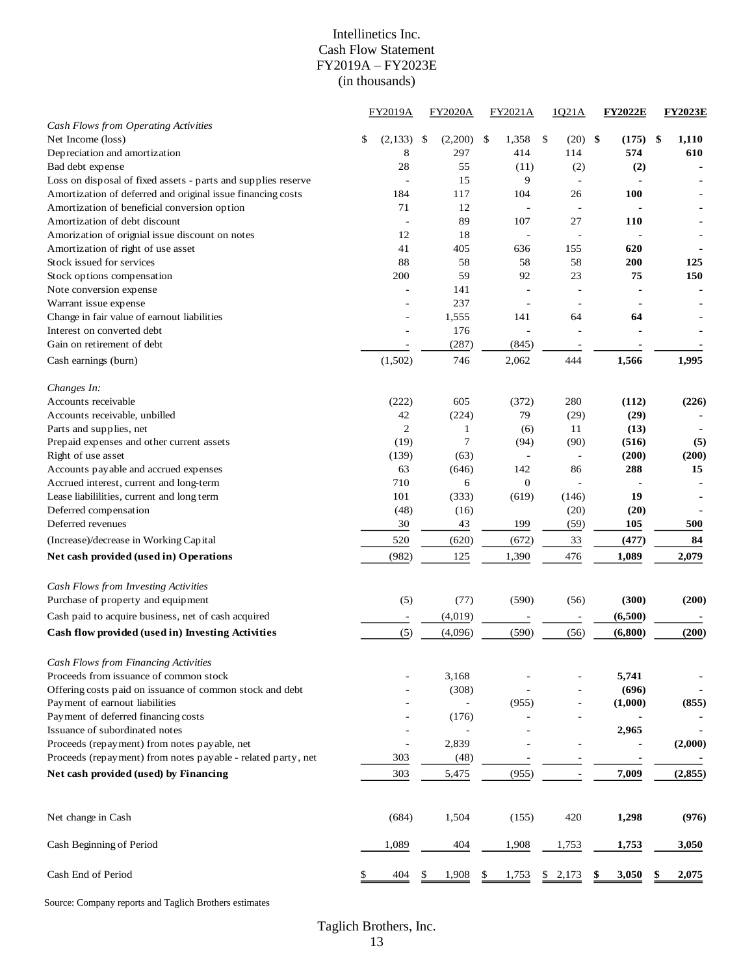#### Intellinetics Inc. Cash Flow Statement FY2019A – FY2023E (in thousands)

|                                                               | <b>FY2019A</b> | <b>FY2020A</b> | FY2021A                  |    | 1021A                    | <b>FY2022E</b> | <b>FY2023E</b> |
|---------------------------------------------------------------|----------------|----------------|--------------------------|----|--------------------------|----------------|----------------|
| Cash Flows from Operating Activities                          |                |                |                          |    |                          |                |                |
| Net Income (loss)                                             | \$<br>(2,133)  | \$<br>(2,200)  | \$<br>1,358              | \$ | (20)                     | \$<br>(175)    | \$<br>1,110    |
| Depreciation and amortization                                 | 8              | 297            | 414                      |    | 114                      | 574            | 610            |
| Bad debt expense                                              | 28             | 55             | (11)                     |    | (2)                      | (2)            |                |
| Loss on disposal of fixed assets - parts and supplies reserve |                | 15             | 9                        |    | $\overline{\phantom{a}}$ |                |                |
| Amortization of deferred and original issue financing costs   | 184            | 117            | 104                      |    | 26                       | 100            |                |
| Amortization of beneficial conversion option                  | 71             | 12             | $\overline{\phantom{a}}$ |    | $\overline{\phantom{a}}$ |                |                |
| Amortization of debt discount                                 |                | 89             | 107                      |    | 27                       | 110            |                |
| Amorization of orignial issue discount on notes               | 12             | 18             |                          |    |                          |                |                |
| Amortization of right of use asset                            | 41             | 405            | 636                      |    | 155                      | 620            |                |
| Stock issued for services                                     | 88             | 58             | 58                       |    | 58                       | 200            | 125            |
| Stock options compensation                                    | 200            | 59             | 92                       |    | 23                       | 75             | 150            |
| Note conversion expense                                       | ä,             | 141            |                          |    |                          |                |                |
| Warrant issue expense                                         |                | 237            |                          |    |                          |                |                |
| Change in fair value of earnout liabilities                   |                | 1,555          | 141                      |    | 64                       | 64             |                |
| Interest on converted debt                                    |                | 176            |                          |    |                          |                |                |
| Gain on retirement of debt                                    |                | (287)          | (845)                    |    |                          |                |                |
| Cash earnings (burn)                                          | (1,502)        | 746            | 2,062                    |    | 444                      | 1,566          | 1,995          |
| Changes In:                                                   |                |                |                          |    |                          |                |                |
| Accounts receivable                                           | (222)          | 605            | (372)                    |    | 280                      | (112)          | (226)          |
| Accounts receivable, unbilled                                 | 42             | (224)          | 79                       |    | (29)                     | (29)           |                |
| Parts and supplies, net                                       | $\overline{c}$ | 1              | (6)                      |    | 11                       | (13)           |                |
| Prepaid expenses and other current assets                     | (19)           | 7              | (94)                     |    | (90)                     | (516)          | (5)            |
| Right of use asset                                            | (139)          | (63)           |                          |    | ÷,                       | (200)          | (200)          |
| Accounts payable and accrued expenses                         | 63             | (646)          | 142                      |    | 86                       | 288            | 15             |
| Accrued interest, current and long-term                       | 710            | 6              | $\boldsymbol{0}$         |    |                          |                |                |
| Lease liabililities, current and long term                    | 101            | (333)          | (619)                    |    | (146)                    | 19             |                |
| Deferred compensation                                         | (48)           | (16)           |                          |    | (20)                     | (20)           |                |
| Deferred revenues                                             | 30             | 43             | 199                      |    | (59)                     | 105            | 500            |
| (Increase)/decrease in Working Capital                        | 520            | (620)          | (672)                    |    | 33                       | (477)          | 84             |
| Net cash provided (used in) Operations                        | (982)          | 125            | 1,390                    |    | 476                      | 1,089          | 2,079          |
| Cash Flows from Investing Activities                          |                |                |                          |    |                          |                |                |
| Purchase of property and equipment                            | (5)            | (77)           | (590)                    |    | (56)                     | (300)          | (200)          |
| Cash paid to acquire business, net of cash acquired           |                | (4,019)        |                          |    |                          | (6,500)        |                |
|                                                               |                |                |                          |    |                          |                |                |
| Cash flow provided (used in) Investing Activities             | (5)            | (4,096)        | (590)                    |    | (56)                     | (6,800)        | (200)          |
| Cash Flows from Financing Activities                          |                |                |                          |    |                          |                |                |
| Proceeds from issuance of common stock                        |                | 3,168          |                          |    |                          | 5,741          |                |
| Offering costs paid on issuance of common stock and debt      |                | (308)          |                          |    |                          | (696)          |                |
| Payment of earnout liabilities                                |                |                | (955)                    |    |                          | (1,000)        | (855)          |
| Payment of deferred financing costs                           |                | (176)          |                          |    |                          |                |                |
| Issuance of subordinated notes                                |                |                |                          |    |                          | 2,965          |                |
| Proceeds (repayment) from notes payable, net                  |                | 2,839          |                          |    |                          |                | (2,000)        |
| Proceeds (repayment) from notes payable - related party, net  | 303            | (48)           |                          |    |                          |                |                |
| Net cash provided (used) by Financing                         | 303            | 5,475          | (955)                    |    | $\overline{\phantom{a}}$ | 7,009          | (2, 855)       |
| Net change in Cash                                            | (684)          | 1,504          | (155)                    |    | 420                      | 1,298          | (976)          |
| Cash Beginning of Period                                      | 1,089          | 404            | 1,908                    |    | 1,753                    | 1,753          | 3,050          |
|                                                               |                |                |                          |    |                          |                |                |
| Cash End of Period                                            | <u>404</u>     | 1,908          | <u>1,753</u>             | S, | 2,173                    | 3,050          | 2,075          |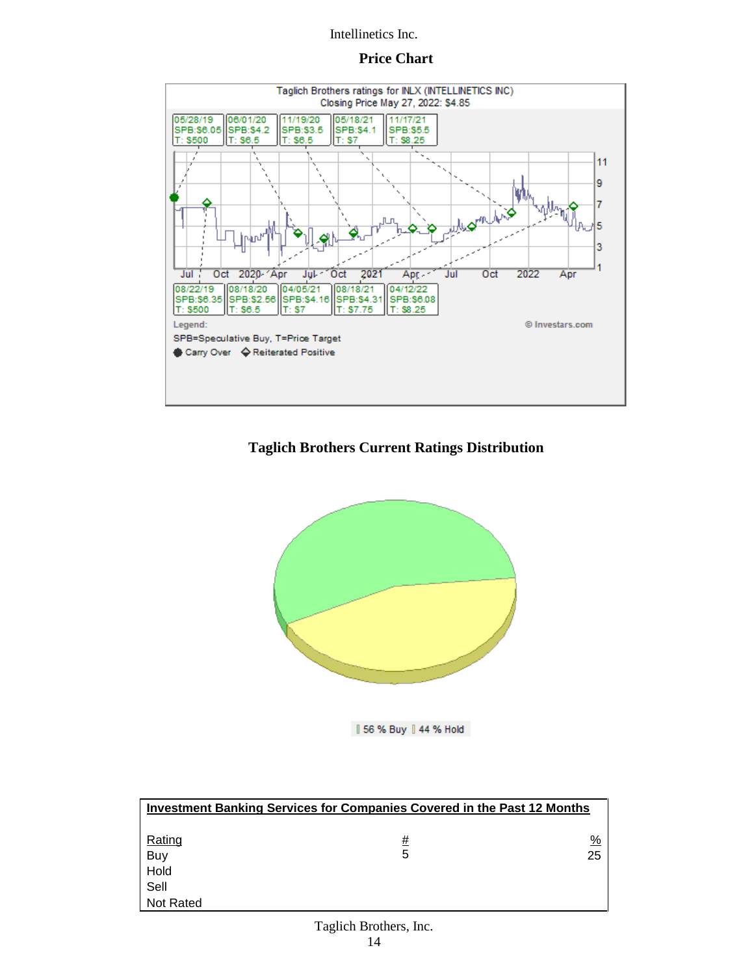#### **Price Chart**



# **Taglich Brothers Current Ratings Distribution**



|| 56 % Buy || 44 % Hold

| <b>Investment Banking Services for Companies Covered in the Past 12 Months</b> |   |    |  |  |  |  |  |  |  |  |
|--------------------------------------------------------------------------------|---|----|--|--|--|--|--|--|--|--|
| Rating                                                                         | # | %  |  |  |  |  |  |  |  |  |
| Buy                                                                            | 5 | 25 |  |  |  |  |  |  |  |  |
| Hold                                                                           |   |    |  |  |  |  |  |  |  |  |
| Sell                                                                           |   |    |  |  |  |  |  |  |  |  |
| <b>Not Rated</b>                                                               |   |    |  |  |  |  |  |  |  |  |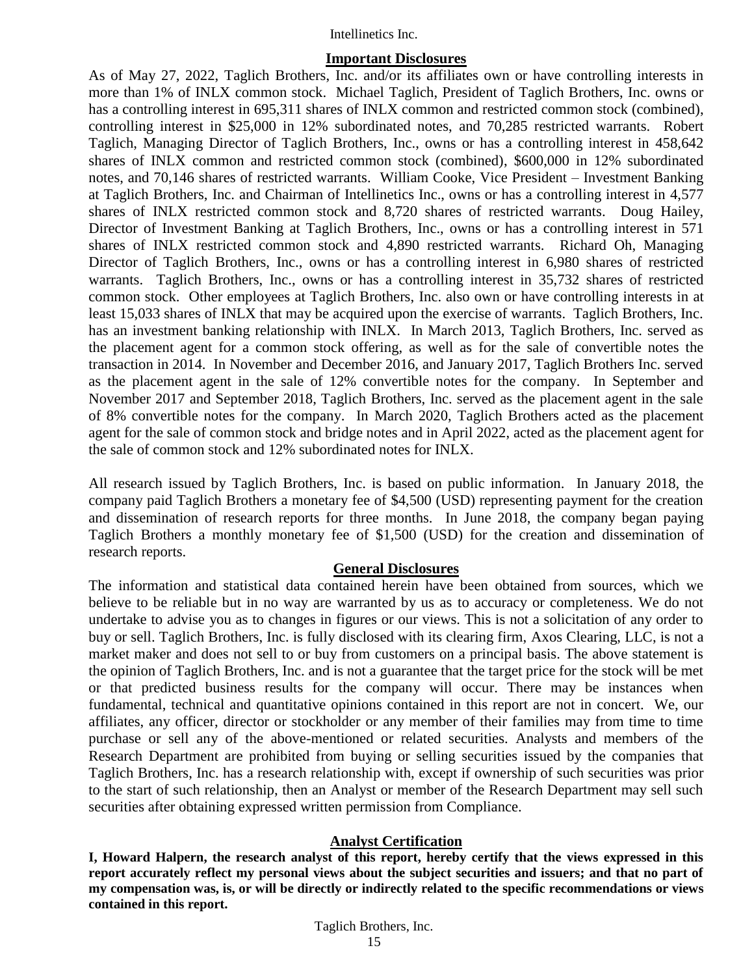#### **Important Disclosures**

As of May 27, 2022, Taglich Brothers, Inc. and/or its affiliates own or have controlling interests in more than 1% of INLX common stock. Michael Taglich, President of Taglich Brothers, Inc. owns or has a controlling interest in 695,311 shares of INLX common and restricted common stock (combined), controlling interest in \$25,000 in 12% subordinated notes, and 70,285 restricted warrants. Robert Taglich, Managing Director of Taglich Brothers, Inc., owns or has a controlling interest in 458,642 shares of INLX common and restricted common stock (combined), \$600,000 in 12% subordinated notes, and 70,146 shares of restricted warrants. William Cooke, Vice President – Investment Banking at Taglich Brothers, Inc. and Chairman of Intellinetics Inc., owns or has a controlling interest in 4,577 shares of INLX restricted common stock and 8,720 shares of restricted warrants. Doug Hailey, Director of Investment Banking at Taglich Brothers, Inc., owns or has a controlling interest in 571 shares of INLX restricted common stock and 4,890 restricted warrants. Richard Oh, Managing Director of Taglich Brothers, Inc., owns or has a controlling interest in 6,980 shares of restricted warrants. Taglich Brothers, Inc., owns or has a controlling interest in 35,732 shares of restricted common stock. Other employees at Taglich Brothers, Inc. also own or have controlling interests in at least 15,033 shares of INLX that may be acquired upon the exercise of warrants. Taglich Brothers, Inc. has an investment banking relationship with INLX. In March 2013, Taglich Brothers, Inc. served as the placement agent for a common stock offering, as well as for the sale of convertible notes the transaction in 2014. In November and December 2016, and January 2017, Taglich Brothers Inc. served as the placement agent in the sale of 12% convertible notes for the company. In September and November 2017 and September 2018, Taglich Brothers, Inc. served as the placement agent in the sale of 8% convertible notes for the company. In March 2020, Taglich Brothers acted as the placement agent for the sale of common stock and bridge notes and in April 2022, acted as the placement agent for the sale of common stock and 12% subordinated notes for INLX.

All research issued by Taglich Brothers, Inc. is based on public information. In January 2018, the company paid Taglich Brothers a monetary fee of \$4,500 (USD) representing payment for the creation and dissemination of research reports for three months. In June 2018, the company began paying Taglich Brothers a monthly monetary fee of \$1,500 (USD) for the creation and dissemination of research reports.

### **General Disclosures**

The information and statistical data contained herein have been obtained from sources, which we believe to be reliable but in no way are warranted by us as to accuracy or completeness. We do not undertake to advise you as to changes in figures or our views. This is not a solicitation of any order to buy or sell. Taglich Brothers, Inc. is fully disclosed with its clearing firm, Axos Clearing, LLC, is not a market maker and does not sell to or buy from customers on a principal basis. The above statement is the opinion of Taglich Brothers, Inc. and is not a guarantee that the target price for the stock will be met or that predicted business results for the company will occur. There may be instances when fundamental, technical and quantitative opinions contained in this report are not in concert. We, our affiliates, any officer, director or stockholder or any member of their families may from time to time purchase or sell any of the above-mentioned or related securities. Analysts and members of the Research Department are prohibited from buying or selling securities issued by the companies that Taglich Brothers, Inc. has a research relationship with, except if ownership of such securities was prior to the start of such relationship, then an Analyst or member of the Research Department may sell such securities after obtaining expressed written permission from Compliance.

### **Analyst Certification**

**I, Howard Halpern, the research analyst of this report, hereby certify that the views expressed in this report accurately reflect my personal views about the subject securities and issuers; and that no part of my compensation was, is, or will be directly or indirectly related to the specific recommendations or views contained in this report.**